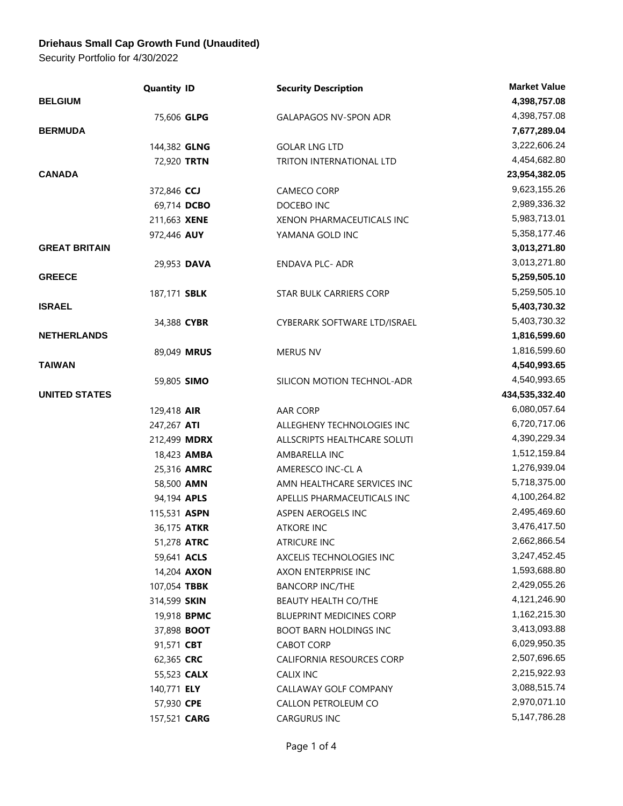## **Driehaus Small Cap Growth Fund (Unaudited)**

Security Portfolio for 4/30/2022

|                      | <b>Quantity ID</b>  | <b>Security Description</b>   | <b>Market Value</b> |
|----------------------|---------------------|-------------------------------|---------------------|
| <b>BELGIUM</b>       |                     |                               | 4,398,757.08        |
|                      | 75,606 GLPG         | <b>GALAPAGOS NV-SPON ADR</b>  | 4,398,757.08        |
| <b>BERMUDA</b>       |                     |                               | 7,677,289.04        |
|                      | 144,382 GLNG        | <b>GOLAR LNG LTD</b>          | 3,222,606.24        |
|                      | 72,920 TRTN         | TRITON INTERNATIONAL LTD      | 4,454,682.80        |
| <b>CANADA</b>        |                     |                               | 23,954,382.05       |
|                      | 372,846 CCJ         | CAMECO CORP                   | 9,623,155.26        |
|                      | 69,714 DCBO         | DOCEBO INC                    | 2,989,336.32        |
|                      | 211,663 XENE        | XENON PHARMACEUTICALS INC     | 5,983,713.01        |
|                      | 972,446 AUY         | YAMANA GOLD INC               | 5,358,177.46        |
| <b>GREAT BRITAIN</b> |                     |                               | 3,013,271.80        |
|                      | 29,953 DAVA         | <b>ENDAVA PLC- ADR</b>        | 3,013,271.80        |
| <b>GREECE</b>        |                     |                               | 5,259,505.10        |
|                      | 187,171 SBLK        | STAR BULK CARRIERS CORP       | 5,259,505.10        |
| <b>ISRAEL</b>        |                     |                               | 5,403,730.32        |
|                      | 34,388 CYBR         | CYBERARK SOFTWARE LTD/ISRAEL  | 5,403,730.32        |
| <b>NETHERLANDS</b>   |                     |                               | 1,816,599.60        |
|                      | 89,049 MRUS         | <b>MERUS NV</b>               | 1,816,599.60        |
| TAIWAN               |                     |                               | 4,540,993.65        |
|                      | 59,805 SIMO         | SILICON MOTION TECHNOL-ADR    | 4,540,993.65        |
| <b>UNITED STATES</b> |                     |                               | 434,535,332.40      |
|                      | 129,418 AIR         | AAR CORP                      | 6,080,057.64        |
|                      | 247,267 ATI         | ALLEGHENY TECHNOLOGIES INC    | 6,720,717.06        |
|                      | 212,499 <b>MDRX</b> | ALLSCRIPTS HEALTHCARE SOLUTI  | 4,390,229.34        |
|                      | 18,423 AMBA         | AMBARELLA INC                 | 1,512,159.84        |
|                      | 25,316 AMRC         | AMERESCO INC-CL A             | 1,276,939.04        |
|                      | 58,500 AMN          | AMN HEALTHCARE SERVICES INC   | 5,718,375.00        |
|                      | 94,194 APLS         | APELLIS PHARMACEUTICALS INC   | 4,100,264.82        |
|                      | 115,531 ASPN        | ASPEN AEROGELS INC            | 2,495,469.60        |
|                      | 36,175 ATKR         | <b>ATKORE INC</b>             | 3,476,417.50        |
|                      | 51,278 ATRC         | <b>ATRICURE INC</b>           | 2,662,866.54        |
|                      | 59,641 ACLS         | AXCELIS TECHNOLOGIES INC      | 3,247,452.45        |
|                      | 14,204 <b>AXON</b>  | AXON ENTERPRISE INC           | 1,593,688.80        |
|                      | 107,054 TBBK        | <b>BANCORP INC/THE</b>        | 2,429,055.26        |
|                      | 314,599 SKIN        | <b>BEAUTY HEALTH CO/THE</b>   | 4,121,246.90        |
|                      | 19,918 <b>BPMC</b>  | BLUEPRINT MEDICINES CORP      | 1,162,215.30        |
|                      | 37,898 <b>BOOT</b>  | <b>BOOT BARN HOLDINGS INC</b> | 3,413,093.88        |
|                      | 91,571 CBT          | CABOT CORP                    | 6,029,950.35        |
|                      | 62,365 CRC          | CALIFORNIA RESOURCES CORP     | 2,507,696.65        |
|                      | 55,523 <b>CALX</b>  | CALIX INC                     | 2,215,922.93        |
|                      | 140,771 ELY         | CALLAWAY GOLF COMPANY         | 3,088,515.74        |
|                      | 57,930 CPE          | CALLON PETROLEUM CO           | 2,970,071.10        |
|                      | 157,521 CARG        | CARGURUS INC                  | 5, 147, 786. 28     |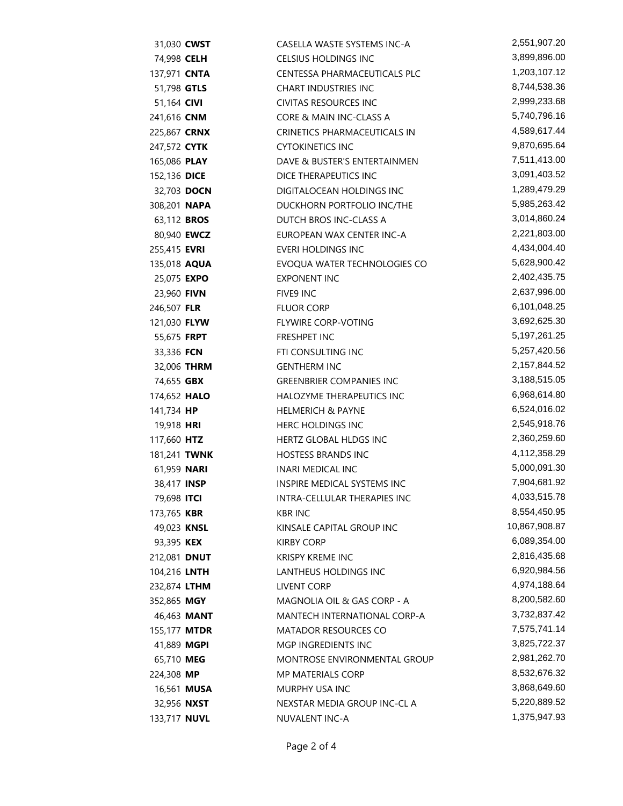| 31,030 CWST         |                    | CASELLA WASTE SYSTEMS INC-A     | 2,551,907.20    |
|---------------------|--------------------|---------------------------------|-----------------|
| 74,998 CELH         |                    | CELSIUS HOLDINGS INC            | 3,899,896.00    |
| 137,971 <b>CNTA</b> |                    | CENTESSA PHARMACEUTICALS PLC    | 1,203,107.12    |
| 51,798 GTLS         |                    | <b>CHART INDUSTRIES INC</b>     | 8,744,538.36    |
| 51,164 CIVI         |                    | <b>CIVITAS RESOURCES INC</b>    | 2,999,233.68    |
| 241,616 CNM         |                    | CORE & MAIN INC-CLASS A         | 5,740,796.16    |
| 225,867 <b>CRNX</b> |                    | CRINETICS PHARMACEUTICALS IN    | 4,589,617.44    |
| 247,572 <b>CYTK</b> |                    | <b>CYTOKINETICS INC</b>         | 9,870,695.64    |
| 165,086 PLAY        |                    | DAVE & BUSTER'S ENTERTAINMEN    | 7,511,413.00    |
| 152,136 DICE        |                    | DICE THERAPEUTICS INC           | 3,091,403.52    |
| 32,703 DOCN         |                    | DIGITALOCEAN HOLDINGS INC       | 1,289,479.29    |
| 308,201 NAPA        |                    | DUCKHORN PORTFOLIO INC/THE      | 5,985,263.42    |
| 63,112 <b>BROS</b>  |                    | DUTCH BROS INC-CLASS A          | 3,014,860.24    |
| 80,940 <b>EWCZ</b>  |                    | EUROPEAN WAX CENTER INC-A       | 2,221,803.00    |
| 255,415 <b>EVRI</b> |                    | EVERI HOLDINGS INC              | 4,434,004.40    |
| 135,018 AQUA        |                    | EVOQUA WATER TECHNOLOGIES CO    | 5,628,900.42    |
| 25,075 EXPO         |                    | <b>EXPONENT INC</b>             | 2,402,435.75    |
| 23,960 <b>FIVN</b>  |                    | FIVE9 INC                       | 2,637,996.00    |
| 246,507 FLR         |                    | <b>FLUOR CORP</b>               | 6,101,048.25    |
| 121,030 FLYW        |                    | FLYWIRE CORP-VOTING             | 3,692,625.30    |
| 55,675 <b>FRPT</b>  |                    | FRESHPET INC                    | 5, 197, 261. 25 |
| 33,336 FCN          |                    | FTI CONSULTING INC              | 5,257,420.56    |
|                     | 32,006 THRM        | <b>GENTHERM INC</b>             | 2,157,844.52    |
| 74,655 GBX          |                    | <b>GREENBRIER COMPANIES INC</b> | 3,188,515.05    |
| 174,652 <b>HALO</b> |                    | HALOZYME THERAPEUTICS INC       | 6,968,614.80    |
| 141,734 HP          |                    | <b>HELMERICH &amp; PAYNE</b>    | 6,524,016.02    |
| 19,918 HRI          |                    | <b>HERC HOLDINGS INC</b>        | 2,545,918.76    |
| 117,660 HTZ         |                    | HERTZ GLOBAL HLDGS INC          | 2,360,259.60    |
| 181,241 TWNK        |                    | <b>HOSTESS BRANDS INC</b>       | 4,112,358.29    |
| 61,959 NARI         |                    | <b>INARI MEDICAL INC</b>        | 5,000,091.30    |
| 38,417 INSP         |                    | INSPIRE MEDICAL SYSTEMS INC     | 7,904,681.92    |
| 79,698 ITCI         |                    | INTRA-CELLULAR THERAPIES INC    | 4,033,515.78    |
| 173,765 KBR         |                    | <b>KBR INC</b>                  | 8,554,450.95    |
| 49,023 KNSL         |                    | KINSALE CAPITAL GROUP INC       | 10,867,908.87   |
| 93,395 KEX          |                    | <b>KIRBY CORP</b>               | 6,089,354.00    |
| 212,081 DNUT        |                    | <b>KRISPY KREME INC</b>         | 2,816,435.68    |
| 104,216 LNTH        |                    | LANTHEUS HOLDINGS INC           | 6,920,984.56    |
| 232,874 LTHM        |                    | LIVENT CORP                     | 4,974,188.64    |
| 352,865 MGY         |                    | MAGNOLIA OIL & GAS CORP - A     | 8,200,582.60    |
|                     | 46,463 MANT        | MANTECH INTERNATIONAL CORP-A    | 3,732,837.42    |
| 155,177 <b>MTDR</b> |                    | <b>MATADOR RESOURCES CO</b>     | 7,575,741.14    |
| 41,889 MGPI         |                    | MGP INGREDIENTS INC             | 3,825,722.37    |
| 65,710 MEG          |                    | MONTROSE ENVIRONMENTAL GROUP    | 2,981,262.70    |
| 224,308 MP          |                    | <b>MP MATERIALS CORP</b>        | 8,532,676.32    |
|                     | 16,561 <b>MUSA</b> | MURPHY USA INC                  | 3,868,649.60    |
| 32,956 NXST         |                    | NEXSTAR MEDIA GROUP INC-CLA     | 5,220,889.52    |
| 133,717 NUVL        |                    | NUVALENT INC-A                  | 1,375,947.93    |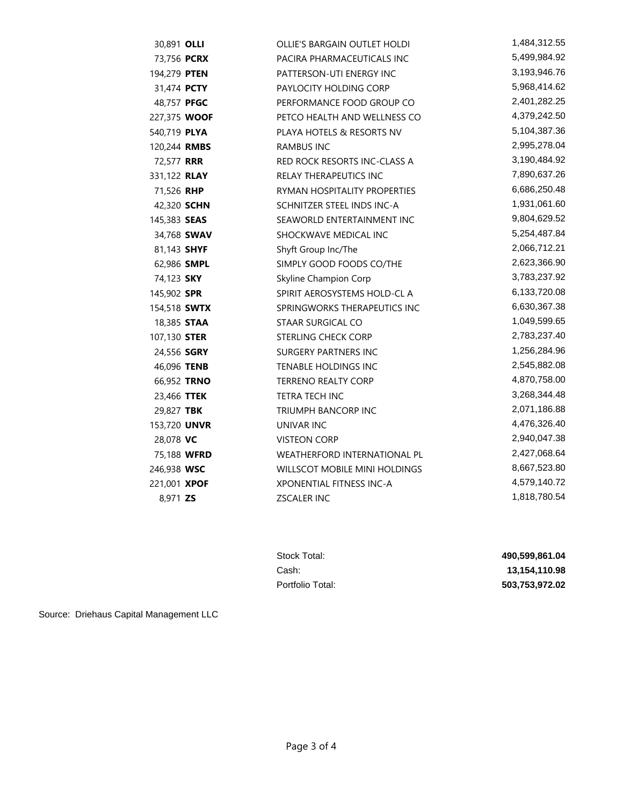| 30,891 OLLI         |             | <b>OLLIE'S BARGAIN OUTLET HOLDI</b>  | 1,484,312.55 |
|---------------------|-------------|--------------------------------------|--------------|
| 73,756 PCRX         |             | PACIRA PHARMACEUTICALS INC           | 5,499,984.92 |
| 194,279 <b>PTEN</b> |             | PATTERSON-UTI ENERGY INC             | 3,193,946.76 |
| 31,474 <b>PCTY</b>  |             | PAYLOCITY HOLDING CORP               | 5,968,414.62 |
| 48,757 PFGC         |             | PERFORMANCE FOOD GROUP CO            | 2,401,282.25 |
| 227,375 WOOF        |             | PETCO HEALTH AND WELLNESS CO         | 4,379,242.50 |
| 540,719 PLYA        |             | PLAYA HOTELS & RESORTS NV            | 5,104,387.36 |
| 120,244 RMBS        |             | <b>RAMBUS INC</b>                    | 2,995,278.04 |
| 72,577 <b>RRR</b>   |             | <b>RED ROCK RESORTS INC-CLASS A</b>  | 3,190,484.92 |
| 331,122 RLAY        |             | RELAY THERAPEUTICS INC               | 7,890,637.26 |
| 71,526 RHP          |             | RYMAN HOSPITALITY PROPERTIES         | 6,686,250.48 |
| 42,320 <b>SCHN</b>  |             | SCHNITZER STEEL INDS INC-A           | 1,931,061.60 |
| 145,383 <b>SEAS</b> |             | SEAWORLD ENTERTAINMENT INC           | 9,804,629.52 |
|                     | 34,768 SWAV | SHOCKWAVE MEDICAL INC                | 5,254,487.84 |
| 81,143 SHYF         |             | Shyft Group Inc/The                  | 2,066,712.21 |
| 62,986 SMPL         |             | SIMPLY GOOD FOODS CO/THE             | 2,623,366.90 |
| 74,123 SKY          |             | Skyline Champion Corp                | 3,783,237.92 |
| 145,902 SPR         |             | SPIRIT AEROSYSTEMS HOLD-CL A         | 6,133,720.08 |
| 154,518 SWTX        |             | SPRINGWORKS THERAPEUTICS INC         | 6,630,367.38 |
| 18,385 STAA         |             | STAAR SURGICAL CO                    | 1,049,599.65 |
| 107,130 <b>STER</b> |             | STERLING CHECK CORP                  | 2,783,237.40 |
| 24,556 <b>SGRY</b>  |             | <b>SURGERY PARTNERS INC</b>          | 1,256,284.96 |
| 46,096 TENB         |             | <b>TENABLE HOLDINGS INC</b>          | 2,545,882.08 |
| 66,952 TRNO         |             | <b>TERRENO REALTY CORP</b>           | 4,870,758.00 |
| 23,466 TTEK         |             | TETRA TECH INC                       | 3,268,344.48 |
| 29,827 TBK          |             | <b>TRIUMPH BANCORP INC</b>           | 2,071,186.88 |
| 153,720 UNVR        |             | UNIVAR INC                           | 4,476,326.40 |
| 28,078 VC           |             | <b>VISTEON CORP</b>                  | 2,940,047.38 |
| 75,188 WFRD         |             | <b>WEATHERFORD INTERNATIONAL PL</b>  | 2,427,068.64 |
| 246,938 WSC         |             | <b>WILLSCOT MOBILE MINI HOLDINGS</b> | 8,667,523.80 |
| 221,001 XPOF        |             | XPONENTIAL FITNESS INC-A             | 4,579,140.72 |
| 8,971 ZS            |             | <b>ZSCALER INC</b>                   | 1,818,780.54 |

| Stock Total:     | 490.599.861.04 |
|------------------|----------------|
| Cash:            | 13.154.110.98  |
| Portfolio Total: | 503,753,972.02 |

Source: Driehaus Capital Management LLC